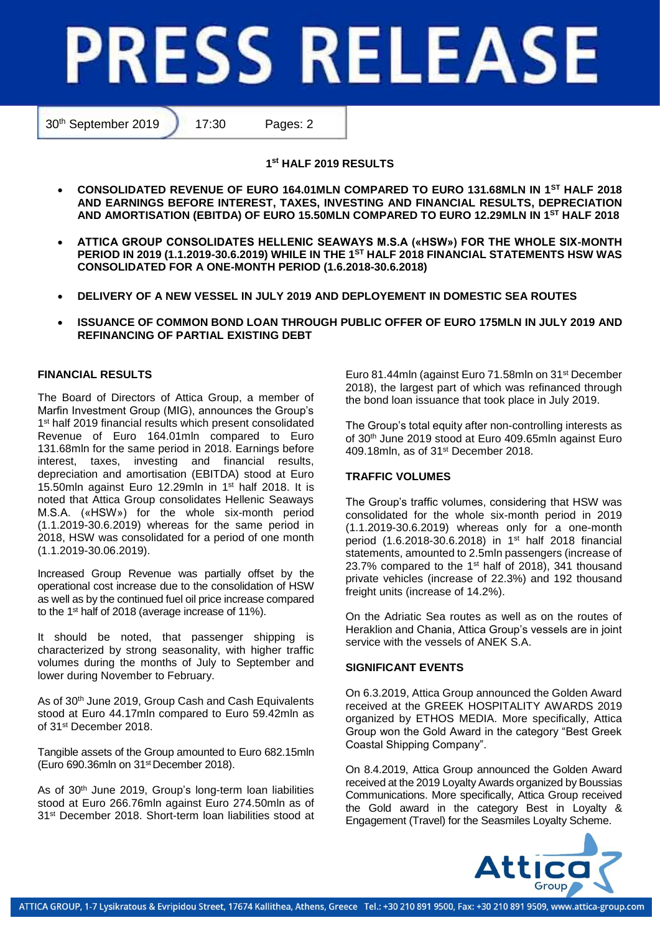# **PRESS RELEASE**

30th September 2019 17:30 Pages: 2

**1 st HALF 2019 RESULTS**

- **CONSOLIDATED REVENUE OF EURO 164.01MLN COMPARED TO EURO 131.68MLN IN 1ST HALF 2018 AND EARNINGS BEFORE INTEREST, TAXES, INVESTING AND FINANCIAL RESULTS, DEPRECIATION AND AMORTISATION (EBITDA) OF EURO 15.50MLN COMPARED TO EURO 12.29MLN IN 1ST HALF 2018**
- **ATTICA GROUP CONSOLIDATES HELLENIC SEAWAYS M.S.A («HSW») FOR THE WHOLE SIX-MONTH PERIOD IN 2019 (1.1.2019-30.6.2019) WHILE IN THE 1 ST HALF 2018 FINANCIAL STATEMENTS HSW WAS CONSOLIDATED FOR A ONE-MONTH PERIOD (1.6.2018-30.6.2018)**
- **DELIVERY OF A NEW VESSEL IN JULY 2019 AND DEPLOYEMENT IN DOMESTIC SEA ROUTES**
- **ISSUANCE OF COMMON BOND LOAN THROUGH PUBLIC OFFER OF EURO 175MLN IN JULY 2019 AND REFINANCING OF PARTIAL EXISTING DEBT**

# **FINANCIAL RESULTS**

The Board of Directors of Attica Group, a member of Marfin Investment Group (MIG), announces the Group's 1 st half 2019 financial results which present consolidated Revenue of Euro 164.01mln compared to Euro 131.68mln for the same period in 2018. Earnings before interest, taxes, investing and financial results, depreciation and amortisation (EBITDA) stood at Euro 15.50mln against Euro 12.29mln in 1st half 2018. It is noted that Attica Group consolidates Hellenic Seaways M.S.A. («HSW») for the whole six-month period (1.1.2019-30.6.2019) whereas for the same period in 2018, HSW was consolidated for a period of one month (1.1.2019-30.06.2019).

Increased Group Revenue was partially offset by the operational cost increase due to the consolidation of HSW as well as by the continued fuel oil price increase compared to the 1<sup>st</sup> half of 2018 (average increase of 11%).

It should be noted, that passenger shipping is characterized by strong seasonality, with higher traffic volumes during the months of July to September and lower during November to February.

As of 30<sup>th</sup> June 2019, Group Cash and Cash Equivalents stood at Euro 44.17mln compared to Euro 59.42mln as of 31st December 2018.

Tangible assets of the Group amounted to Euro 682.15mln (Euro 690.36mln on 31<sup>st</sup> December 2018).

As of 30<sup>th</sup> June 2019, Group's long-term loan liabilities stood at Euro 266.76mln against Euro 274.50mln as of 31st December 2018. Short-term loan liabilities stood at Euro 81.44mln (against Euro 71.58mln on 31st December 2018), the largest part of which was refinanced through the bond loan issuance that took place in July 2019.

The Group's total equity after non-controlling interests as of 30th June 2019 stood at Euro 409.65mln against Euro 409.18mln, as of 31st December 2018.

# **TRAFFIC VOLUMES**

The Group's traffic volumes, considering that HSW was consolidated for the whole six-month period in 2019 (1.1.2019-30.6.2019) whereas only for a one-month period (1.6.2018-30.6.2018) in 1<sup>st</sup> half 2018 financial statements, amounted to 2.5mln passengers (increase of 23.7% compared to the 1st half of 2018), 341 thousand private vehicles (increase of 22.3%) and 192 thousand freight units (increase of 14.2%).

On the Adriatic Sea routes as well as on the routes of Heraklion and Chania, Attica Group's vessels are in joint service with the vessels of ANEK S.A.

# **SIGNIFICANT EVENTS**

On 6.3.2019, Attica Group announced the Golden Award received at the GREEK HOSPITALITY AWARDS 2019 organized by ETHOS MEDIA. More specifically, Attica Group won the Gold Award in the category "Best Greek Coastal Shipping Company".

On 8.4.2019, Attica Group announced the Golden Award received at the 2019 Loyalty Awards organized by Boussias Communications. More specifically, Attica Group received the Gold award in the category Best in Loyalty & Engagement (Travel) for the Seasmiles Loyalty Scheme.